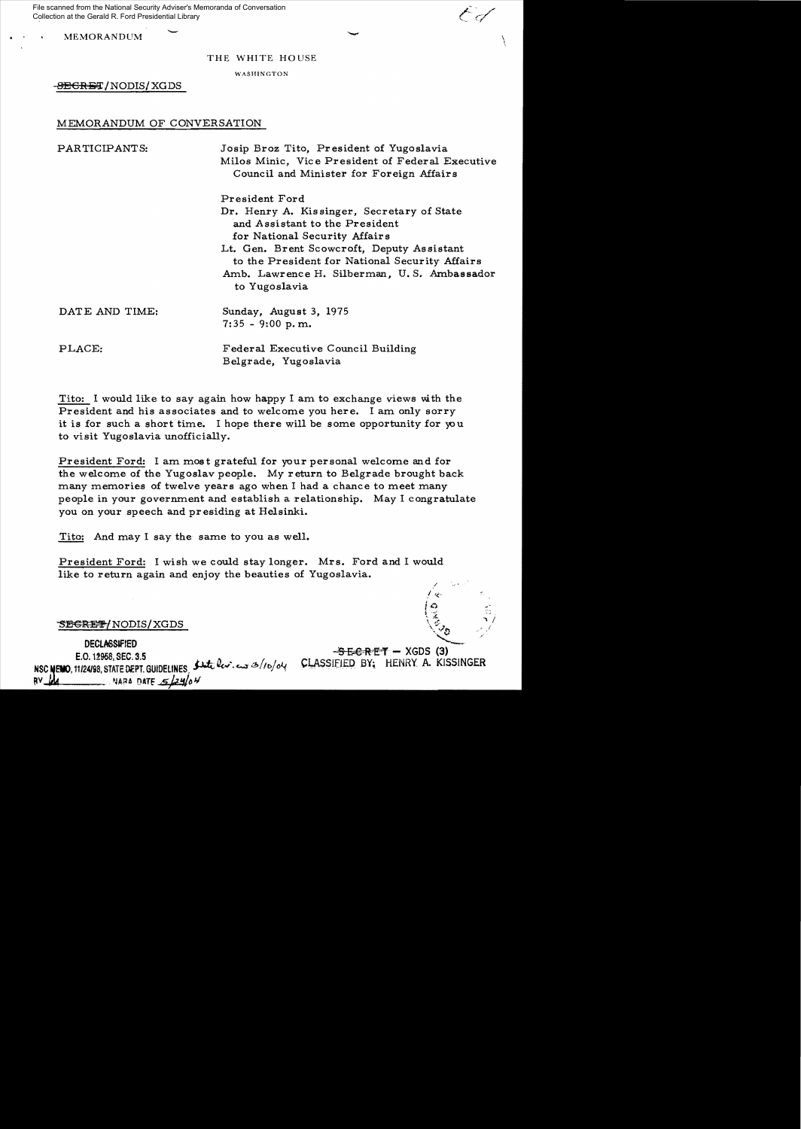MEMORANDUM  $\bigcup$ File scanned from the National Security Adviser's Memoranda of Conversation Collection at the Gerald R. Ford Presidential Library

#### THE WHITE HOUSE

WASHINGTON

-SEGRET/NODIS/XGDS

# MEMORANDUM OF CONVERSATION

PARTICIPANTS: Josip Broz Tito, President of Yugoslavia Milos Minic, Vic e President of Federal Executive Council and Minister for Foreign Affairs

President Ford Dr. Henry A. Kissinger, Secretary of State and Assistant to the President for National Security Affairs Lt. Gen. Brent Scowcroft, Deputy Assistant to the President for National Security Affairs Amb. Lawrence H. Silberman, U. S. Ambassador to Yugoslavia DATE AND TIME: Sunday, August 3, 1975 7: 35 - 9:00 p. m. PLACE: Federal Executive Council Building Belgrade, Yugoslavia

Tito: I would like to say again how happy I am to exchange views with the President and his associates and to welcome you here. I am only sorry it is for such a short time. I hope there will be some opportunity for you to visit Yugoslavia unofficially.

President Ford: I am most grateful for your personal welcome and for the welcome of the Yugoslav people. My return to Belgrade brought back many memories of twelve years ago when I had a chance to meet many people in your government and establish a relationship. May I congratulate you on your speech and pr esiding at Helsinki.

Tito: And may I say the same to you as well.

President Ford: I wish we could stay longer. Mrs. Ford and I would like to return again and enjoy the beauties of Yugoslavia.

SE<del>CRET/</del>NODIS/XGDS

**DECLASSIFIED** E.O. 12958. SEC. 3.5 NSC NEWO, 11/24/98, STATE DEPT. GUIDELINES Sut les. eus 3/10/04 CLASSIFIED BY; HENRY A. KISSINGER  $RV$ **NARA DATE**  $524/04$ 

 $-$ <del>SECRET</del>  $-$  XGDS (3)

 $\prime$   $\leftarrow$ 

 $\mathfrak{t}$  , ,

 $\heartsuit$ o

 $\left(\begin{matrix} \textbf{0} & \textbf{0} & \textbf{0} \\ \textbf{0} & \textbf{0} & \textbf{0} \end{matrix}\right)$ 

**' •.."'.1** 1'"'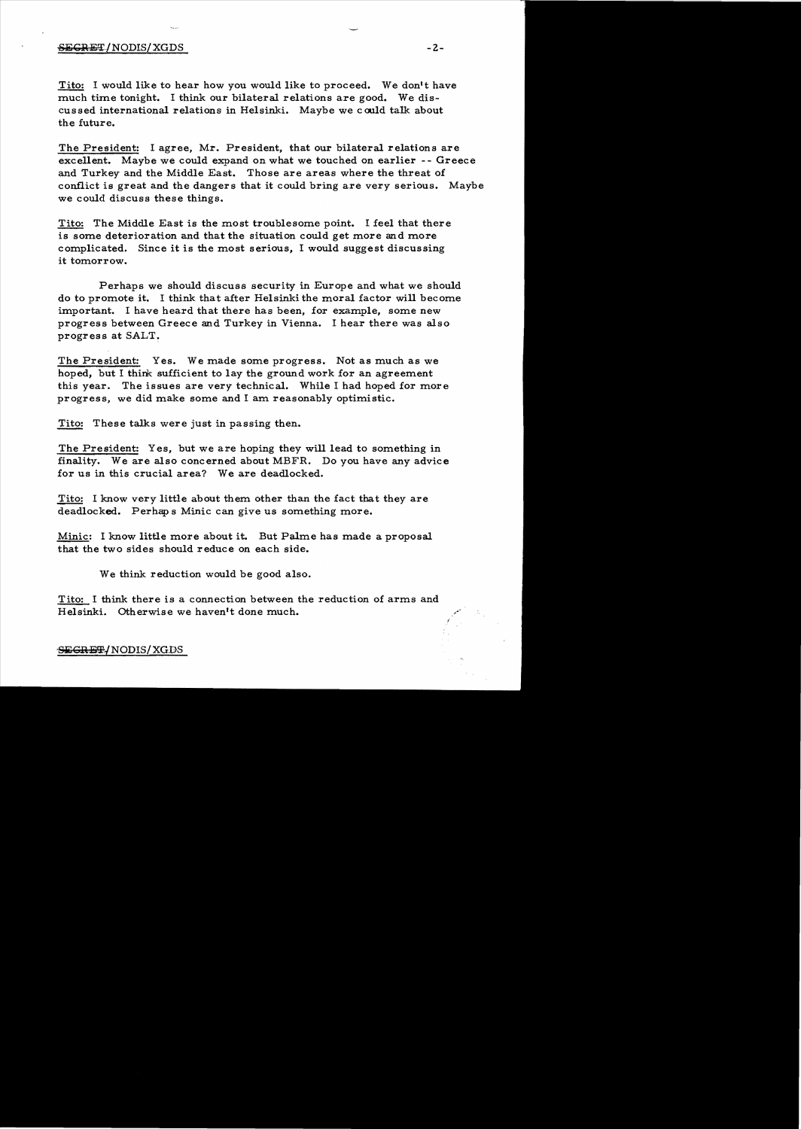## SECRET/NODIS/XGDS - 2-

Tito: I would like to hear how you would like to proceed. We don't have much time tonight. I think our bilateral relations are good. We discussed international relations in Helsinki. Maybe we could talk about the future.

The President: I agree. Mr. President, that our bilateral relations are excellent. Maybe we could expand on what we touched on earlier -- Greece and Turkey and the Middle East. Those are areas where the threat of conflict is great and the dangers that it could bring are very serious. Maybe we could discuss these things.

Tito: The Middle East is the most troublesome point. I feel that there is some deterioration and that the situation could get more and more complicated. Since it is the most serious, I would suggest discussing it tomorrow.

Perhaps we should discuss security in Europe and what we should do to promote it. I think that after Helsinki the moral factor will become important. I have heard that there has been, for example, some new progress between Greece and Turkey in Vienna. I hear there was also progress at SALT.

The President: Yes. We made some progress. Not as much as we hoped, but I think sufficient to lay the ground work for an agreement this year. The issues are very technical. While I had hoped for more progress, we did make some and I am reasonably optimistic.

Tito: These talks were just in passing then.

The President: Yes, but we are hoping they will lead to something in finality. We are also concerned about MBFR. Do you have any advice for us in this crucial area? We are deadlocked.

Tito: I know very little about them other than the fact that they are deadlocked. Perhap s Minic can give us something more.

Minic: I know little more about it. But Palme has made a proposal that the two sides should reduce on each side.

We think reduction would be good also.

Tito: I think there is a connection between the reduction of arms and Helsinki. Otherwise we haven't done much.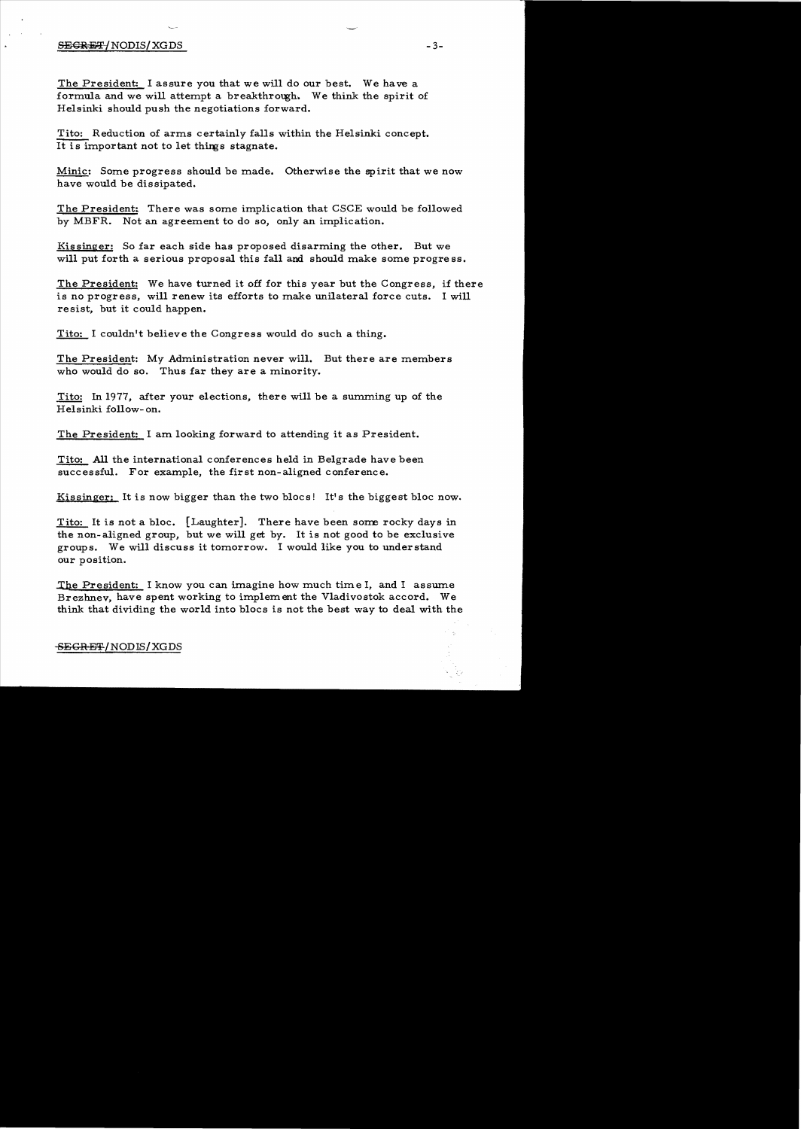# $S$ EGRET/NODIS/XGDS  $-3-$

The President: I assure you that we will do our best. We have a formula and we will attempt a breakthrough. We think the spirit of Helsinki should push the negotiations forward.

Tito: Reduction of arms certainly fa11s within the Helsinki concept. It is important not to let things stagnate.

Minic: Some progress should be made. Otherwise the spirit that we now have would be dissipated.

The President: There was some implication that CSCE would be followed by MBFR. Not an agreement to do so, only an implication.

Kissinger: So far each side has proposed disarming the other. But we will put forth a serious proposal this fall and should make some progre ss.

The President: We have turned it off for this year but the Congress, if there is no progress, will renew its efforts to make unilateral force cuts. I will re sist, but it could happen.

Tito: I couldn't believe the Congress would do such a thing.

The President: My Administration never will. But there are members who would do so. Thus far they are a minority.

Tito: In 1977, after your elections, there will be a summing up of the Helsinki follow- on.

The President: I am looking forward to attending it as President.

Tito: All the international conferences held in Belgrade have been successful. For example, the first non-aligned conference.

Kissinger: It is now bigger than the two blocs! It's the biggest bloc now.

Tito: It is not a bloc.  $\lceil$  Laughter]. There have been some rocky days in the non-aligned group, but we will get by. It is not good to be exclusive groups. We will discuss it tomorrow. I would like you to understand our position.

.The President: I know you can imagine how much time I, and I assume Brezhnev, have spent working to implement the Vladivostok accord. We think that dividing the world into blocs is not the best way to deal with the

## SEGRET/NODIS/XGDS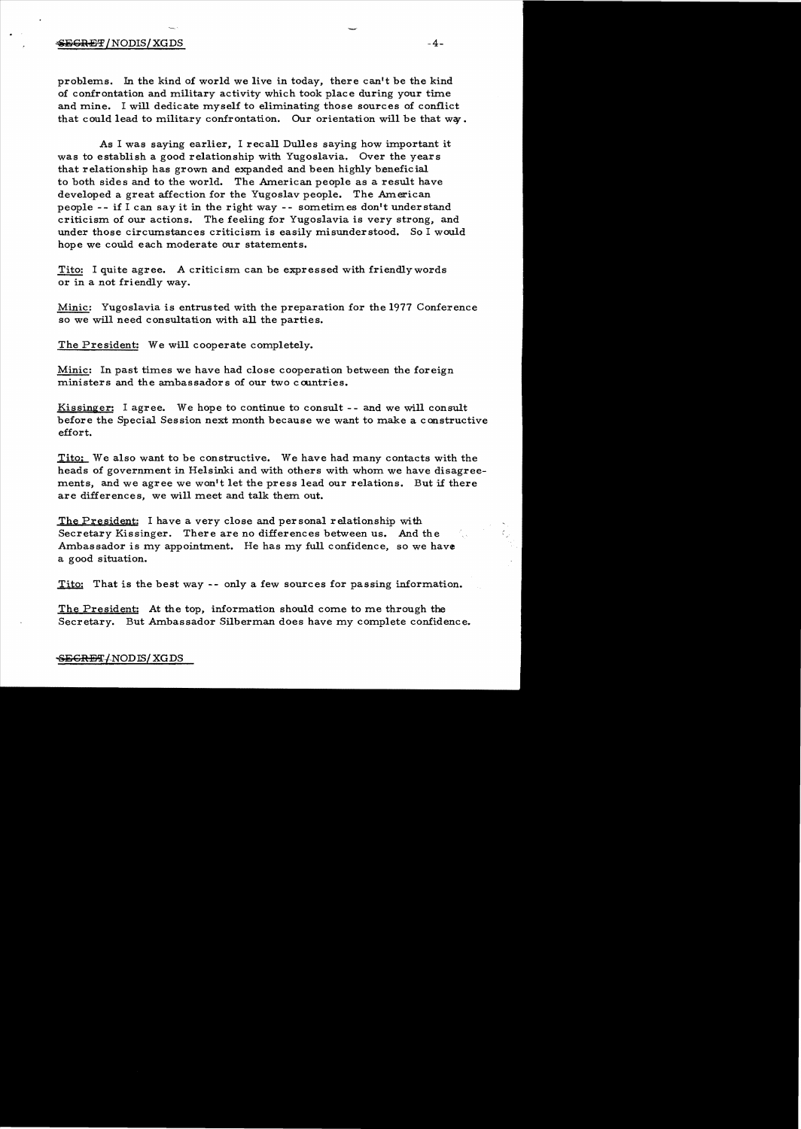#### $\clubsuit$ E $\leftrightarrow$  -4- $\to$  -4- $\to$  -4- $\to$  -4- $\to$  -4- $\to$  -4- $\to$  -4- $\to$  -4- $\to$  -4- $\to$  -4- $\to$  -4- $\to$  -4- $\to$  -4- $\to$  -4- $\to$  -4- $\to$  -4- $\to$  -4- $\to$  -4- $\to$  -4- $\to$  -4- $\to$  -4- $\to$  -4- $\to$  -4- $\to$  -4- $\to$  -4- $\to$  -4- $\to$  -4

problems. In the kind of world we live in today, there can't be the kind of confrontation and military activity which took place during your time and mine. I will dedicate myself to eliminating those sources of conflict that could lead to military confrontation. Our orientation will be that way.

As I was saying earlier. I recall Dulles saying how important it was to establish a good relationship with Yugoslavia. Over the years that relationship has grown and expanded and been highly beneficial to both sides and to the world. The American people as a result have developed a great affection for the Yugoslav people. The American people  $--$  if I can say it in the right way  $--$  sometimes don't understand criticism of our actions. The feeling for Yugoslavia is very strong, and under those circumstances criticism is easily misunderstood. So I would hope we could each moderate our statements.

Tito: I quite agree. A criticism can be expressed with friendly words or in a not friendly way.

Minic: Yugoslavia is entrusted with the preparation for the 1977 Conference so we will need consultation with all the parties.

The President: We will cooperate completely.

Minic: In past times we have had close cooperation between the foreign ministers and the ambassadors of our two countries.

Kissinger: I agree. We hope to continue to consult  $-$ - and we will consult before the Special Session next month because we want to make a constructive effort.

Tito: We also want to be constructive. We have had many contacts with the heads of government in Helsinki and with others with whom we have disagreements, and we agree we won't let the press lead our relations. But if there are differences, we will meet and talk them out.

The President: I have a very close and personal relationship with Secretary Kissinger. There are no differences between us. And the Ambassador is my appointment. He has my full confidence, so we have a good situation.

Tito: That is the best way -- only a few sources for passing information.

The President: At the top, information should come to me through the Secretary. But Ambassador Silberman does have my complete confidence.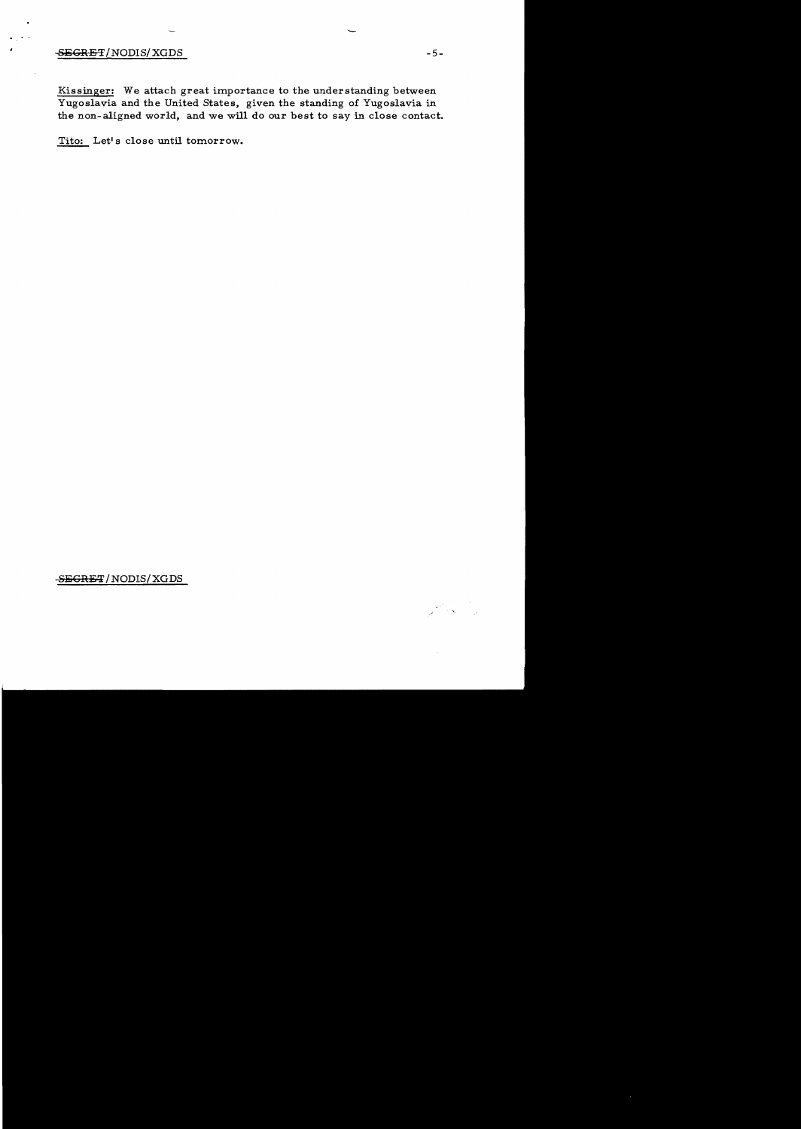# $-5-$

Kissinger: We attach great importance to the understanding between Yugoslavia and the United States, given the standing of Yugoslavia in the non-aligned world, and we will do our best to say in close contact.

Tito: Let's close until tomorrow.

-SEGRET/NODIS/XGDS

ال المحمد الأمريكي.<br>المحمد الأمريكي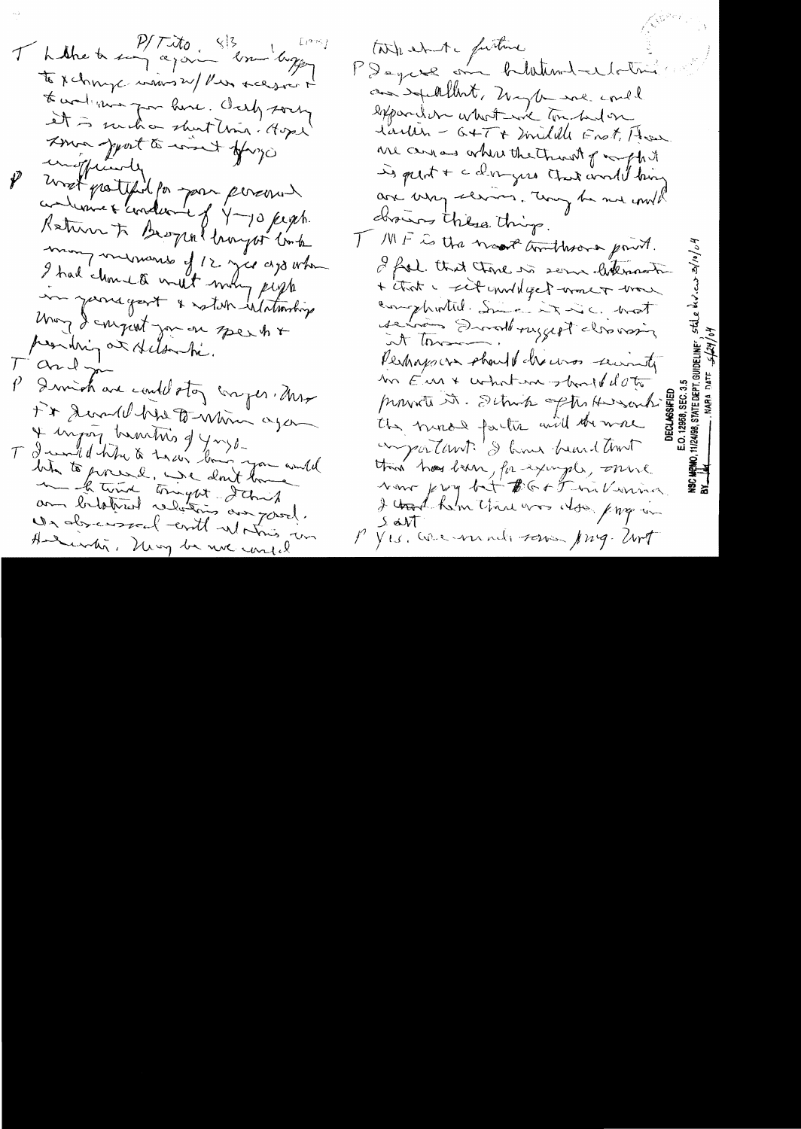Thathe to say again some longer  $L^{q\gamma\zeta}$ to x change was 24/ Pier recessor to work was for here. Ourly sorry It is such a shut line. Agent Ama jourt à mint opingo unofficiente most protesting for your personer continue + conduone of y-10 people Katura to Beograf honger took mon memories of 12 years ago when I had chosen a write many people me jamegart & satisfied though May I conjust you on speak + presiding at stelandi. Tard jo P Divid are could stor comper Mas Fix Second by to - Whim again + injoy transvis q y nys. T I would have a train their you would bita to presel, we don't love and the time tringet dans an bilotred relations aux passel. Underward enthusian Andundi, Newy be not consid

take ente furture PDague on huntand-elotion and excellent, maybe use could expander what we try helon larlin - G+T+ milille Frot, How are carros where the throat of mych it is peint + c dingers that and thing are very slaves. They be not with drawns thilse things. T MF is the nearth timbers point. I feel that there is some letternooth. + that I set unull get work work complimités. Since it is a broot de trois Droubruggest classing Perhaps on should decores security un Eur & what we should do to provents it. School of the Hunders the more factor will the more emportant : I have heard and this hos been, for example, one Now pry but BG+5 millwin I could helm that was also page in  $\sqrt{2}$  ob  $\sqrt{1}$ P Yes. We wind sower Jung. Wrt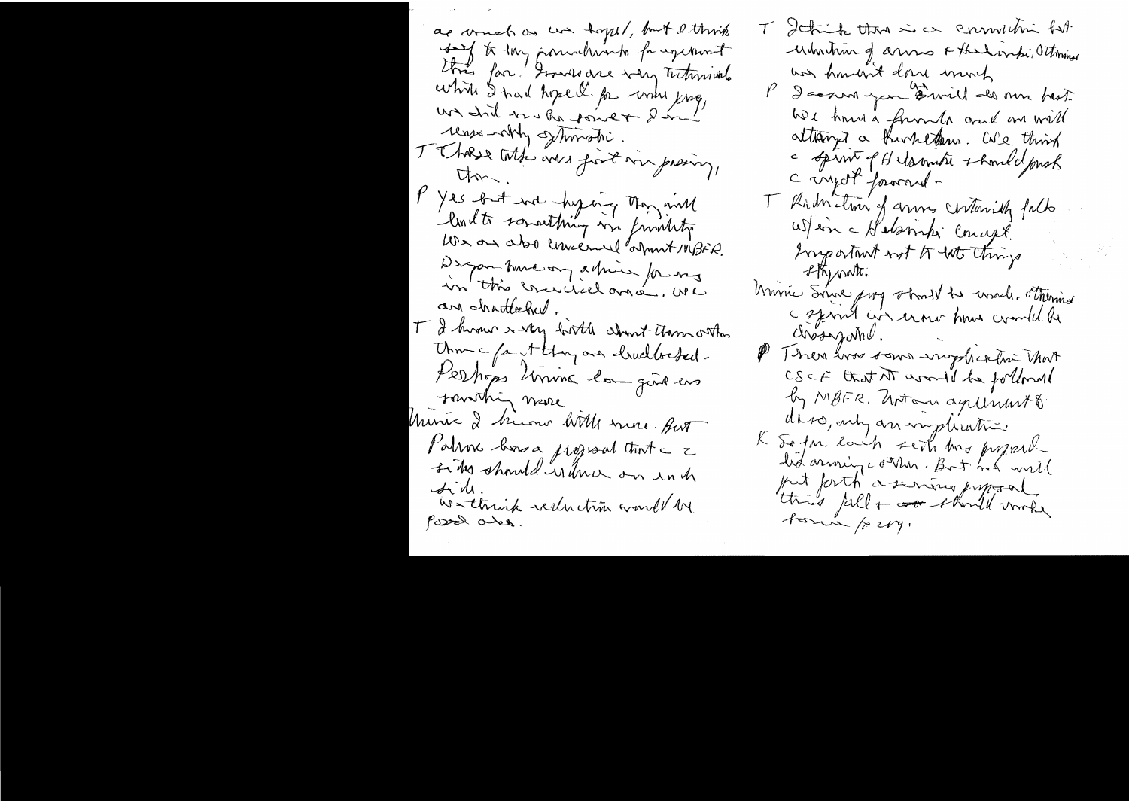as wonder as un topel, but littwish for the formuliants for agenerat this far ! I was are very technical which I had hope I for when king, un did trobe power din! rense-only strington. TT hope with who fort my prainy, Um. P Yes but not hyping thought built somathing me function We are also concerned about 1418FR. Despon hund on a trine for my an chatteched. T I human with hirth about them other Union c /a et thoughour churched. Perhops living longislas fourthing mare Universe I bicour little more. Aut Palmes bors a program that a z sing should is the on inch Side.<br>Westhink sechatric world be possed alex.

T Ithink that is a commitive fut umming anno At Insidenti Ottomise was hondered done much P docum jun David des mu best We have a form to and one will attained a hunklim. We think a spirat of Hilamatie & hould pash C injot forvonné -T Ruin time of anne centurialy falls War a Habampi Concept. Engeniant not to the things 2 Kynorth. Univie Since purg stand to wash. Thermed c sprint air erour hour could be  $\omega$ ves johar. P Then was some wropher twi that CSCE that AT would be followed by MBFR. Arton agrimmato daso, any an implication. K So for each seith has proposed. had arriving conten. But ind will put forth a sering system toning /2 cry.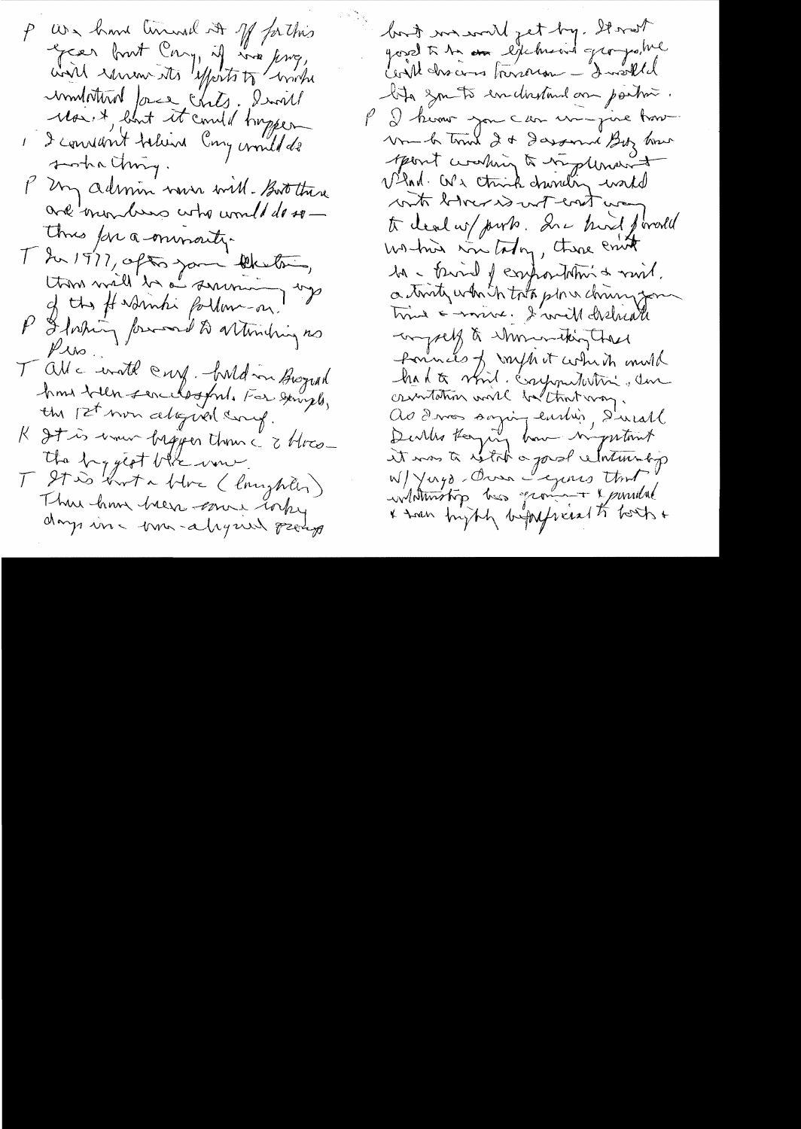P We have timed it of fathis Green bout Cong, if we know, with remember of the with monthlord force chits, Invited Maist, blant it could trappen I admin now will - Boot there are monders who would do so-Thus for a minority. T In 1977, often your liketoin, thin will be summing up of the # Nambi forthom - on. P I forting forward to arthing no  $P$  is T all a worth cry. hald in Brograd home beller servedsofred. For served, the pet non alogued comp. K It is union begy en than a three-The byggest blue wine T Stis Korta Hore (longheler) Thus him her cours today days in - tron-alysus peerly

but we will get by. It with gourd à 12 mars libertiment groupestre lota zon to enclosedant an partir. P I know you can un just how Vm & trink 2 & Dasservi Biz how sport warming to resplement Vind. We think drinking world with block was well way to deal w/ purk . In a kind firedel working in taking, there crute M - tried of expositions & mil. a truty which tota plan chiny your time = monre. I will discharge -compet à shoninating these formats of myhot which mulh had to vind. componentative due crimtation world beltont way. As dives soying earlier, Direall it was to witch a good whether by W/ Yugo - Over Legens that information has grown to yourseld & tran bright begangered to both +